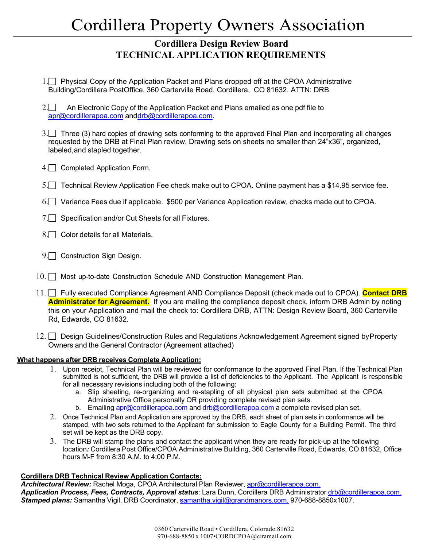### **Cordillera Design Review Board TECHNICAL APPLICATION REQUIREMENTS**

- 1. Physical Copy of the Application Packet and Plans dropped off at the CPOA Administrative Building/Cordillera PostOffice, 360 Carterville Road, Cordillera, CO 81632. ATTN: DRB
- 2.  $\Box$  An Electronic Copy of the Application Packet and Plans emailed as one pdf file to apr@cordillerapoa.com anddrb@cordillerapoa.com.
- 3. Three (3) hard copies of drawing sets conforming to the approved Final Plan and incorporating all changes requested by the DRB at Final Plan review. Drawing sets on sheets no smaller than 24"x36", organized, labeled,and stapled together.
- 4. Completed Application Form.
- 5. Technical Review Application Fee check make out to CPOA**.** Online payment has a \$14.95 service fee.
- 6. Variance Fees due if applicable. \$500 per Variance Application review, checks made out to CPOA.
- 7. Specification and/or Cut Sheets for all Fixtures.
- 8. Color details for all Materials.
- 9. Construction Sign Design.
- 10.  $\Box$  Most up-to-date Construction Schedule AND Construction Management Plan.
- 11. Fully executed Compliance Agreement AND Compliance Deposit (check made out to CPOA). **Contact DRB Administrator for Agreement.** If you are mailing the compliance deposit check, inform DRB Admin by noting this on your Application and mail the check to: Cordillera DRB, ATTN: Design Review Board, 360 Carterville Rd, Edwards, CO 81632.
- 12. Design Guidelines/Construction Rules and Regulations Acknowledgement Agreement signed by Property Owners and the General Contractor (Agreement attached)

#### **What happens after DRB receives Complete Application:**

- 1. Upon receipt, Technical Plan will be reviewed for conformance to the approved Final Plan. If the Technical Plan submitted is not sufficient, the DRB will provide a list of deficiencies to the Applicant. The Applicant is responsible for all necessary revisions including both of the following:
	- a. Slip sheeting, re-organizing and re-stapling of all physical plan sets submitted at the CPOA Administrative Office personally OR providing complete revised plan sets.
	- b. Emailing apr@cordillerapoa.com and drb@cordillerapoa.com a complete revised plan set.
- 2. Once Technical Plan and Application are approved by the DRB, each sheet of plan sets in conformance will be stamped, with two sets returned to the Applicant for submission to Eagle County for a Building Permit. The third set will be kept as the DRB copy.
- 3. The DRB will stamp the plans and contact the applicant when they are ready for pick-up at the following location*:* Cordillera Post Office/CPOA Administrative Building, 360 Carterville Road, Edwards, CO 81632, Office hours M-F from 8:30 A.M. to 4:00 P.M.

#### **Cordillera DRB Technical Review Application Contacts:**

*Architectural Review:* Rachel Moga, CPOA Architectural Plan Reviewer, apr@cordillerapoa.com. *Application Process, Fees, Contracts, Approval status*: Lara Dunn, Cordillera DRB Administrator drb@cordillerapoa.com. *Stamped plans:* Samantha Vigil, DRB Coordinator, samantha.vigil@grandmanors.com, 970-688-8850x1007.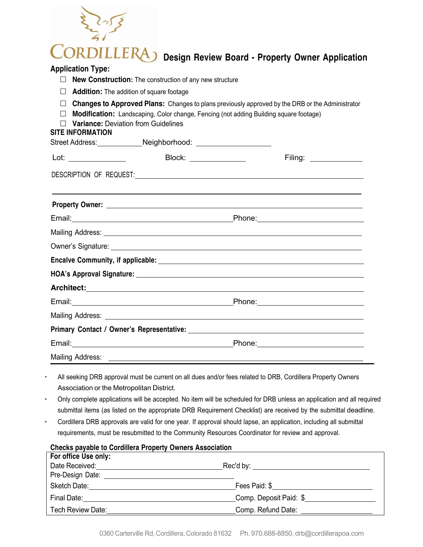# **IILLERA Design Review Board ‐ Property Owner Application**

#### **Application Type:**

- □ **New Construction:** The construction of any new structure
- $\Box$  **Addition:** The addition of square footage
- $\Box$  **Changes to Approved Plans:** Changes to plans previously approved by the DRB or the Administrator
- □ **Modification:** Landscaping, Color change, Fencing (not adding Building square footage)
- $\Box$  **Variance:** Deviation from Guidelines

#### **SITE INFORMATION**

| Block: _______________                                                                                                                                                                                                                                                                                             | Filing: ______________                                                                                                                                                                                                         |
|--------------------------------------------------------------------------------------------------------------------------------------------------------------------------------------------------------------------------------------------------------------------------------------------------------------------|--------------------------------------------------------------------------------------------------------------------------------------------------------------------------------------------------------------------------------|
| DESCRIPTION OF REQUEST: Network and the state of the state of the state of the state of the state of the state of the state of the state of the state of the state of the state of the state of the state of the state of the                                                                                      |                                                                                                                                                                                                                                |
| ,我们也不会有什么?""我们的人,我们也不会有什么?""我们的人,我们也不会有什么?""我们的人,我们也不会有什么?""我们的人,我们也不会有什么?""我们的人<br>Property Owner: New York Changes and Changes and Changes and Changes and Changes and Changes and Changes and Changes and Changes and Changes and Changes and Changes and Changes and Changes and Changes and Changes and Chang |                                                                                                                                                                                                                                |
| Email: <u>Andreas and American and American and American and American and American and American and American and American and American and American and American and American and American and American and American and America</u>                                                                               | Phone: 2008 Phone: 2008 Phone: 2008 Phone: 2008 Phone: 2008 Phone: 2008 Phone: 2008 Phone: 2008 Phone: 2008 Phone: 2008 Phone: 2008 Phone: 2008 Phone: 2008 Phone: 2008 Phone: 2008 Phone: 2008 Phone: 2008 Phone: 2008 Phone: |
|                                                                                                                                                                                                                                                                                                                    |                                                                                                                                                                                                                                |
|                                                                                                                                                                                                                                                                                                                    |                                                                                                                                                                                                                                |
|                                                                                                                                                                                                                                                                                                                    |                                                                                                                                                                                                                                |
|                                                                                                                                                                                                                                                                                                                    |                                                                                                                                                                                                                                |
|                                                                                                                                                                                                                                                                                                                    |                                                                                                                                                                                                                                |
|                                                                                                                                                                                                                                                                                                                    |                                                                                                                                                                                                                                |
|                                                                                                                                                                                                                                                                                                                    |                                                                                                                                                                                                                                |
|                                                                                                                                                                                                                                                                                                                    |                                                                                                                                                                                                                                |
| Email: 2008. 2009. 2010. 2010. 2010. 2010. 2010. 2010. 2010. 2010. 2011. 2012. 2014. 2016. 2017. 2017. 2017. 20                                                                                                                                                                                                    |                                                                                                                                                                                                                                |
|                                                                                                                                                                                                                                                                                                                    |                                                                                                                                                                                                                                |

- All seeking DRB approval must be current on all dues and/or fees related to DRB, Cordillera Property Owners Association or the Metropolitan District.
- Only complete applications will be accepted. No item will be scheduled for DRB unless an application and all required submittal items (as listed on the appropriate DRB Requirement Checklist) are received by the submittal deadline.
- Cordillera DRB approvals are valid for one year. If approval should lapse, an application, including all submittal requirements, must be resubmitted to the Community Resources Coordinator for review and approval.

**Checks payable to Cordillera Property Owners Association**

| <b>UNCORS Payable to Uplantera Froperty Uniters Association</b>                                                                                                                                                                      |                                              |  |  |  |
|--------------------------------------------------------------------------------------------------------------------------------------------------------------------------------------------------------------------------------------|----------------------------------------------|--|--|--|
| For office Use only:                                                                                                                                                                                                                 |                                              |  |  |  |
| Date Received: <u>Container and Container and Container and Container and Container and Container and Container and Container and Container and Container and Container and Container and Container and Container and Container </u> | Rec'd by: __________________________________ |  |  |  |
| Pre-Design Date: <u>________________________</u>                                                                                                                                                                                     |                                              |  |  |  |
| Sketch Date:                                                                                                                                                                                                                         | Fees Paid: \$                                |  |  |  |
| Final Date:                                                                                                                                                                                                                          | Comp. Deposit Paid: \$                       |  |  |  |
| Tech Review Date:                                                                                                                                                                                                                    | Comp. Refund Date:                           |  |  |  |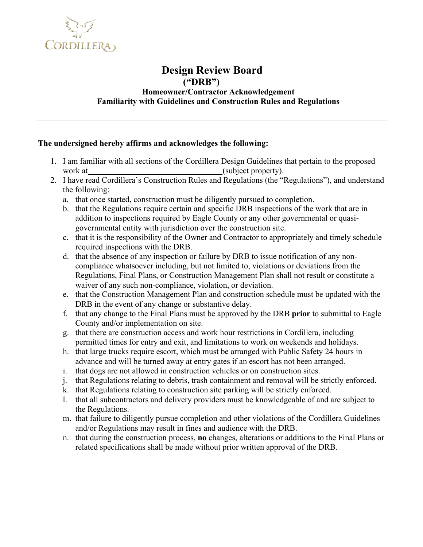

#### **Design Review Board ("DRB") Homeowner/Contractor Acknowledgement Familiarity with Guidelines and Construction Rules and Regulations**

#### **The undersigned hereby affirms and acknowledges the following:**

- 1. I am familiar with all sections of the Cordillera Design Guidelines that pertain to the proposed work at (subject property).
- 2. I have read Cordillera's Construction Rules and Regulations (the "Regulations"), and understand the following:
	- a. that once started, construction must be diligently pursued to completion.
	- b. that the Regulations require certain and specific DRB inspections of the work that are in addition to inspections required by Eagle County or any other governmental or quasigovernmental entity with jurisdiction over the construction site.
	- c. that it is the responsibility of the Owner and Contractor to appropriately and timely schedule required inspections with the DRB.
	- d. that the absence of any inspection or failure by DRB to issue notification of any noncompliance whatsoever including, but not limited to, violations or deviations from the Regulations, Final Plans, or Construction Management Plan shall not result or constitute a waiver of any such non-compliance, violation, or deviation.
	- e. that the Construction Management Plan and construction schedule must be updated with the DRB in the event of any change or substantive delay.
	- f. that any change to the Final Plans must be approved by the DRB **prior** to submittal to Eagle County and/or implementation on site.
	- g. that there are construction access and work hour restrictions in Cordillera, including permitted times for entry and exit, and limitations to work on weekends and holidays.
	- h. that large trucks require escort, which must be arranged with Public Safety 24 hours in advance and will be turned away at entry gates if an escort has not been arranged.
	- i. that dogs are not allowed in construction vehicles or on construction sites.
	- j. that Regulations relating to debris, trash containment and removal will be strictly enforced.
	- k. that Regulations relating to construction site parking will be strictly enforced.
	- l. that all subcontractors and delivery providers must be knowledgeable of and are subject to the Regulations.
	- m. that failure to diligently pursue completion and other violations of the Cordillera Guidelines and/or Regulations may result in fines and audience with the DRB.
	- n. that during the construction process, **no** changes, alterations or additions to the Final Plans or related specifications shall be made without prior written approval of the DRB.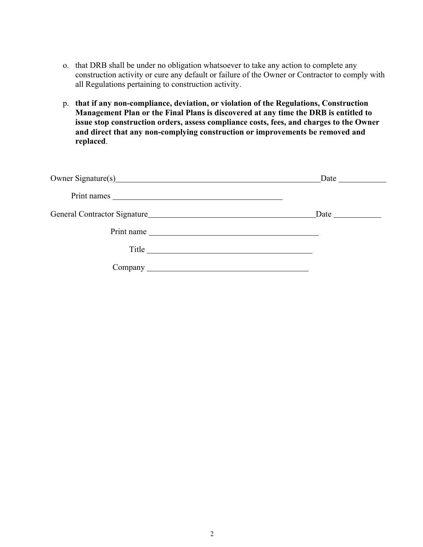- o. that DRB shall be under no obligation whatsoever to take any action to complete any construction activity or cure any default or failure of the Owner or Contractor to comply with all Regulations pertaining to construction activity.
- p. **that if any non-compliance, deviation, or violation of the Regulations, Construction Management Plan or the Final Plans is discovered at any time the DRB is entitled to issue stop construction orders, assess compliance costs, fees, and charges to the Owner and direct that any non-complying construction or improvements be removed and replaced**.

| Owner Signature(s) example and the set of the set of the set of the set of the set of the set of the set of the set of the set of the set of the set of the set of the set of the set of the set of the set of the set of the | <b>Date</b> and <b>Date</b> |
|-------------------------------------------------------------------------------------------------------------------------------------------------------------------------------------------------------------------------------|-----------------------------|
|                                                                                                                                                                                                                               |                             |
|                                                                                                                                                                                                                               | Date <u>_______________</u> |
| Print name                                                                                                                                                                                                                    |                             |
| Title                                                                                                                                                                                                                         |                             |
|                                                                                                                                                                                                                               |                             |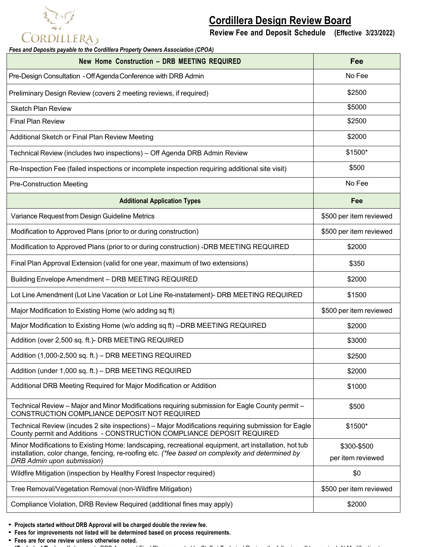# **CORDILLERA**

## **Cordillera Design Review Board**

**Review Fee and Deposit Schedule (Effective 3/23/2022)**

*Fees and Deposits payable to the Cordillera Property Owners Association (CPOA)*

| <b>New Home Construction - DRB MEETING REQUIRED</b>                                                                                                                          | Fee                     |
|------------------------------------------------------------------------------------------------------------------------------------------------------------------------------|-------------------------|
| Pre-Design Consultation - Off Agenda Conference with DRB Admin                                                                                                               | No Fee                  |
| Preliminary Design Review (covers 2 meeting reviews, if required)                                                                                                            | \$2500                  |
| <b>Sketch Plan Review</b>                                                                                                                                                    | \$5000                  |
| <b>Final Plan Review</b>                                                                                                                                                     | \$2500                  |
| Additional Sketch or Final Plan Review Meeting                                                                                                                               | \$2000                  |
| Technical Review (includes two inspections) - Off Agenda DRB Admin Review                                                                                                    | \$1500*                 |
| Re-Inspection Fee (failed inspections or incomplete inspection requiring additional site visit)                                                                              | \$500                   |
| <b>Pre-Construction Meeting</b>                                                                                                                                              | No Fee                  |
| <b>Additional Application Types</b>                                                                                                                                          | Fee                     |
| Variance Request from Design Guideline Metrics                                                                                                                               | \$500 per item reviewed |
| Modification to Approved Plans (prior to or during construction)                                                                                                             | \$500 per item reviewed |
| Modification to Approved Plans (prior to or during construction) -DRB MEETING REQUIRED                                                                                       | \$2000                  |
| Final Plan Approval Extension (valid for one year, maximum of two extensions)                                                                                                | \$350                   |
| Building Envelope Amendment - DRB MEETING REQUIRED                                                                                                                           | \$2000                  |
| Lot Line Amendment (Lot Line Vacation or Lot Line Re-instatement)- DRB MEETING REQUIRED                                                                                      | \$1500                  |
| Major Modification to Existing Home (w/o adding sq ft)                                                                                                                       | \$500 per item reviewed |
| Major Modification to Existing Home (w/o adding sq ft) --DRB MEETING REQUIRED                                                                                                | \$2000                  |
| Addition (over 2,500 sq. ft.)- DRB MEETING REQUIRED                                                                                                                          | \$3000                  |
| Addition (1,000-2,500 sq. ft.) - DRB MEETING REQUIRED                                                                                                                        | \$2500                  |
| Addition (under 1,000 sq. ft.) - DRB MEETING REQUIRED                                                                                                                        | \$2000                  |
| Additional DRB Meeting Required for Major Modification or Addition                                                                                                           | \$1000                  |
| Technical Review - Major and Minor Modifications requiring submission for Eagle County permit -<br>CONSTRUCTION COMPLIANCE DEPOSIT NOT REQUIRED                              | \$500                   |
| Technical Review (incudes 2 site inspections) – Major Modifications requiring submission for Eagle<br>County permit and Additions - CONSTRUCTION COMPLIANCE DEPOSIT REQUIRED | \$1500*                 |
| Minor Modifications to Existing Home: landscaping, recreational equipment, art installation, hot tub                                                                         | \$300-\$500             |
| installation, color change, fencing, re-roofing etc. (*fee based on complexity and determined by<br>DRB Admin upon submission)                                               | per item reviewed       |
| Wildfire Mitigation (inspection by Healthy Forest Inspector required)                                                                                                        | \$0                     |
| Tree Removal/Vegetation Removal (non-Wildfire Mitigation)                                                                                                                    | \$500 per item reviewed |
| Compliance Violation, DRB Review Required (additional fines may apply)                                                                                                       | \$2000                  |

• **Projects started without DRB Approval will be charged double the review fee.**

• **Fees for improvements not listed will be determined based on process requirements.**

• **Fees are for one review unless otherwise noted.**

• \***Technical Review:** If changes to DRB Approved Final Plans are noted by Staff at Technical Review, the following will be required: 1) Modification to